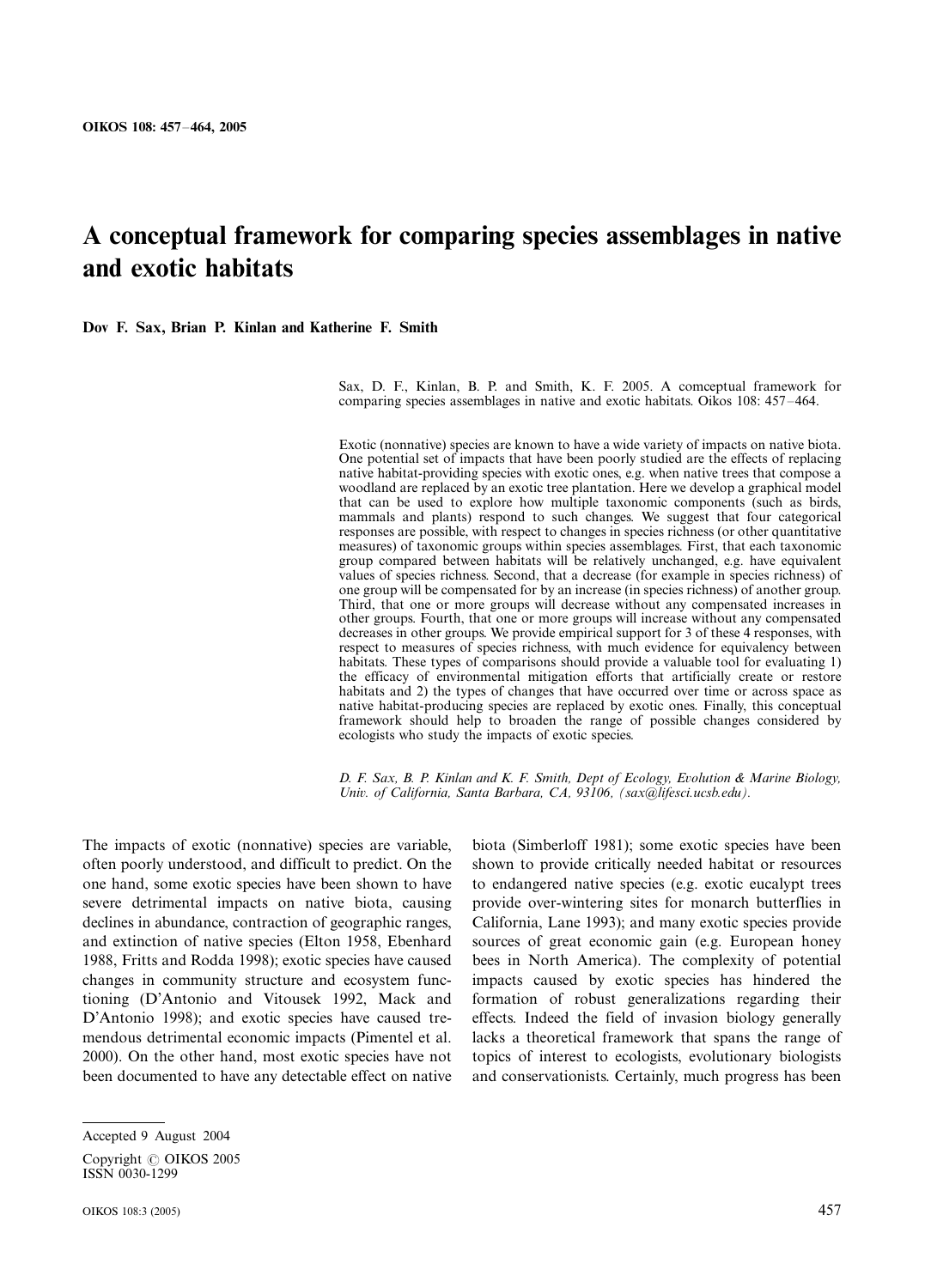# A conceptual framework for comparing species assemblages in native and exotic habitats

#### Dov F. Sax, Brian P. Kinlan and Katherine F. Smith

Sax, D. F., Kinlan, B. P. and Smith, K. F. 2005. A comceptual framework for comparing species assemblages in native and exotic habitats. Oikos 108: 457-464.

Exotic (nonnative) species are known to have a wide variety of impacts on native biota. One potential set of impacts that have been poorly studied are the effects of replacing native habitat-providing species with exotic ones, e.g. when native trees that compose a woodland are replaced by an exotic tree plantation. Here we develop a graphical model that can be used to explore how multiple taxonomic components (such as birds, mammals and plants) respond to such changes. We suggest that four categorical responses are possible, with respect to changes in species richness (or other quantitative measures) of taxonomic groups within species assemblages. First, that each taxonomic group compared between habitats will be relatively unchanged, e.g. have equivalent values of species richness. Second, that a decrease (for example in species richness) of one group will be compensated for by an increase (in species richness) of another group. Third, that one or more groups will decrease without any compensated increases in other groups. Fourth, that one or more groups will increase without any compensated decreases in other groups. We provide empirical support for 3 of these 4 responses, with respect to measures of species richness, with much evidence for equivalency between habitats. These types of comparisons should provide a valuable tool for evaluating 1) the efficacy of environmental mitigation efforts that artificially create or restore habitats and 2) the types of changes that have occurred over time or across space as native habitat-producing species are replaced by exotic ones. Finally, this conceptual framework should help to broaden the range of possible changes considered by ecologists who study the impacts of exotic species.

D. F. Sax, B. P. Kinlan and K. F. Smith, Dept of Ecology, Evolution & Marine Biology, Univ. of California, Santa Barbara, CA, 93106, (sax@lifesci.ucsb.edu).

The impacts of exotic (nonnative) species are variable, often poorly understood, and difficult to predict. On the one hand, some exotic species have been shown to have severe detrimental impacts on native biota, causing declines in abundance, contraction of geographic ranges, and extinction of native species (Elton 1958, Ebenhard 1988, Fritts and Rodda 1998); exotic species have caused changes in community structure and ecosystem functioning (D'Antonio and Vitousek 1992, Mack and D'Antonio 1998); and exotic species have caused tremendous detrimental economic impacts (Pimentel et al. 2000). On the other hand, most exotic species have not been documented to have any detectable effect on native

Copyright © OIKOS 2005 ISSN 0030-1299

biota (Simberloff 1981); some exotic species have been shown to provide critically needed habitat or resources to endangered native species (e.g. exotic eucalypt trees provide over-wintering sites for monarch butterflies in California, Lane 1993); and many exotic species provide sources of great economic gain (e.g. European honey bees in North America). The complexity of potential impacts caused by exotic species has hindered the formation of robust generalizations regarding their effects. Indeed the field of invasion biology generally lacks a theoretical framework that spans the range of topics of interest to ecologists, evolutionary biologists and conservationists. Certainly, much progress has been

Accepted 9 August 2004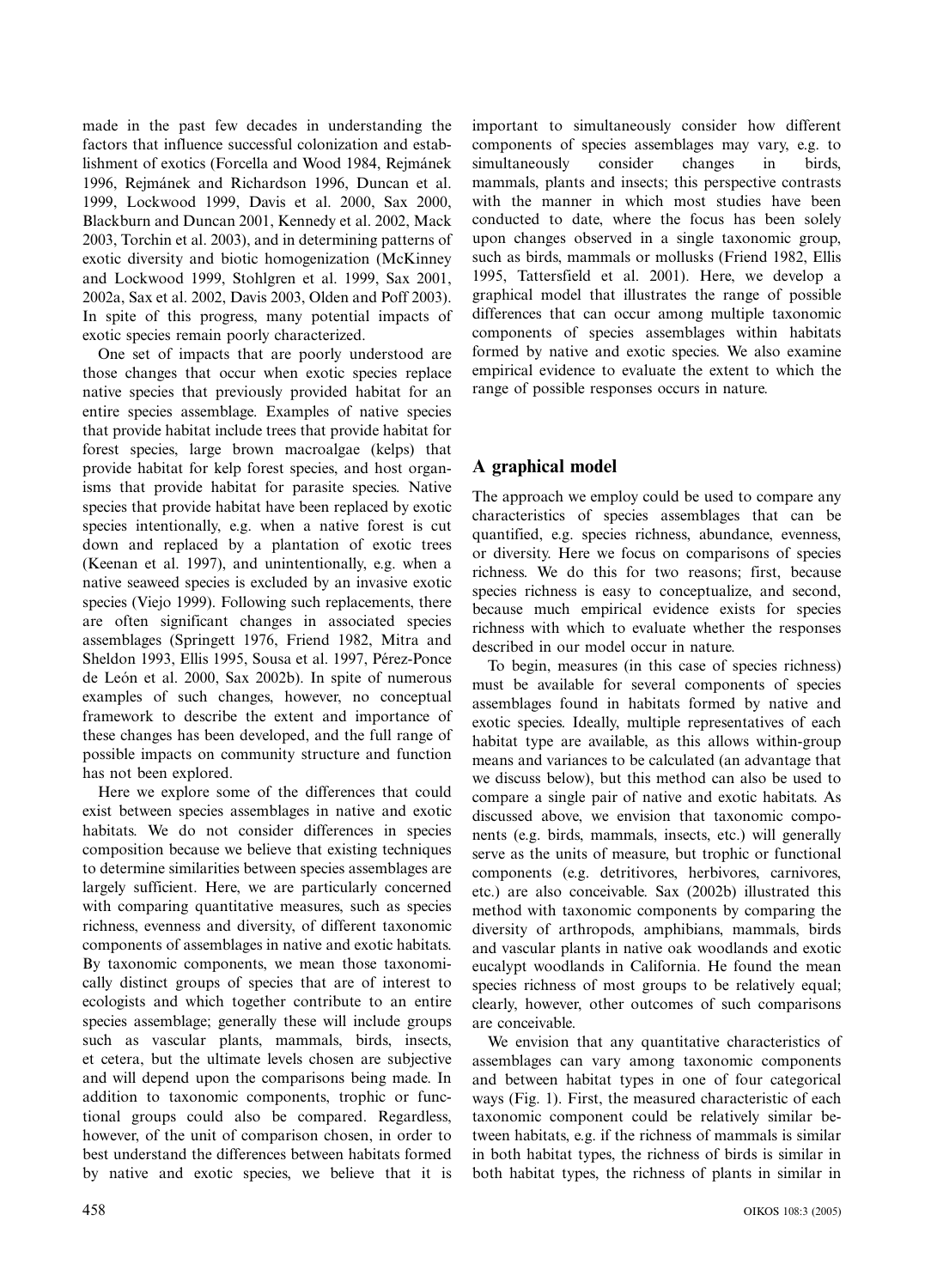made in the past few decades in understanding the factors that influence successful colonization and establishment of exotics (Forcella and Wood 1984, Rejmánek 1996, Reimánek and Richardson 1996, Duncan et al. 1999, Lockwood 1999, Davis et al. 2000, Sax 2000, Blackburn and Duncan 2001, Kennedy et al. 2002, Mack 2003, Torchin et al. 2003), and in determining patterns of exotic diversity and biotic homogenization (McKinney and Lockwood 1999, Stohlgren et al. 1999, Sax 2001, 2002a, Sax et al. 2002, Davis 2003, Olden and Poff 2003). In spite of this progress, many potential impacts of exotic species remain poorly characterized.

One set of impacts that are poorly understood are those changes that occur when exotic species replace native species that previously provided habitat for an entire species assemblage. Examples of native species that provide habitat include trees that provide habitat for forest species, large brown macroalgae (kelps) that provide habitat for kelp forest species, and host organisms that provide habitat for parasite species. Native species that provide habitat have been replaced by exotic species intentionally, e.g. when a native forest is cut down and replaced by a plantation of exotic trees (Keenan et al. 1997), and unintentionally, e.g. when a native seaweed species is excluded by an invasive exotic species (Viejo 1999). Following such replacements, there are often significant changes in associated species assemblages (Springett 1976, Friend 1982, Mitra and Sheldon 1993, Ellis 1995, Sousa et al. 1997, Pérez-Ponce de León et al. 2000, Sax 2002b). In spite of numerous examples of such changes, however, no conceptual framework to describe the extent and importance of these changes has been developed, and the full range of possible impacts on community structure and function has not been explored.

Here we explore some of the differences that could exist between species assemblages in native and exotic habitats. We do not consider differences in species composition because we believe that existing techniques to determine similarities between species assemblages are largely sufficient. Here, we are particularly concerned with comparing quantitative measures, such as species richness, evenness and diversity, of different taxonomic components of assemblages in native and exotic habitats. By taxonomic components, we mean those taxonomically distinct groups of species that are of interest to ecologists and which together contribute to an entire species assemblage; generally these will include groups such as vascular plants, mammals, birds, insects, et cetera, but the ultimate levels chosen are subjective and will depend upon the comparisons being made. In addition to taxonomic components, trophic or functional groups could also be compared. Regardless, however, of the unit of comparison chosen, in order to best understand the differences between habitats formed by native and exotic species, we believe that it is

important to simultaneously consider how different components of species assemblages may vary, e.g. to simultaneously consider changes in birds, mammals, plants and insects; this perspective contrasts with the manner in which most studies have been conducted to date, where the focus has been solely upon changes observed in a single taxonomic group, such as birds, mammals or mollusks (Friend 1982, Ellis 1995, Tattersfield et al. 2001). Here, we develop a graphical model that illustrates the range of possible differences that can occur among multiple taxonomic components of species assemblages within habitats formed by native and exotic species. We also examine empirical evidence to evaluate the extent to which the range of possible responses occurs in nature.

# A graphical model

The approach we employ could be used to compare any characteristics of species assemblages that can be quantified, e.g. species richness, abundance, evenness, or diversity. Here we focus on comparisons of species richness. We do this for two reasons; first, because species richness is easy to conceptualize, and second, because much empirical evidence exists for species richness with which to evaluate whether the responses described in our model occur in nature.

To begin, measures (in this case of species richness) must be available for several components of species assemblages found in habitats formed by native and exotic species. Ideally, multiple representatives of each habitat type are available, as this allows within-group means and variances to be calculated (an advantage that we discuss below), but this method can also be used to compare a single pair of native and exotic habitats. As discussed above, we envision that taxonomic components (e.g. birds, mammals, insects, etc.) will generally serve as the units of measure, but trophic or functional components (e.g. detritivores, herbivores, carnivores, etc.) are also conceivable. Sax (2002b) illustrated this method with taxonomic components by comparing the diversity of arthropods, amphibians, mammals, birds and vascular plants in native oak woodlands and exotic eucalypt woodlands in California. He found the mean species richness of most groups to be relatively equal; clearly, however, other outcomes of such comparisons are conceivable.

We envision that any quantitative characteristics of assemblages can vary among taxonomic components and between habitat types in one of four categorical ways (Fig. 1). First, the measured characteristic of each taxonomic component could be relatively similar between habitats, e.g. if the richness of mammals is similar in both habitat types, the richness of birds is similar in both habitat types, the richness of plants in similar in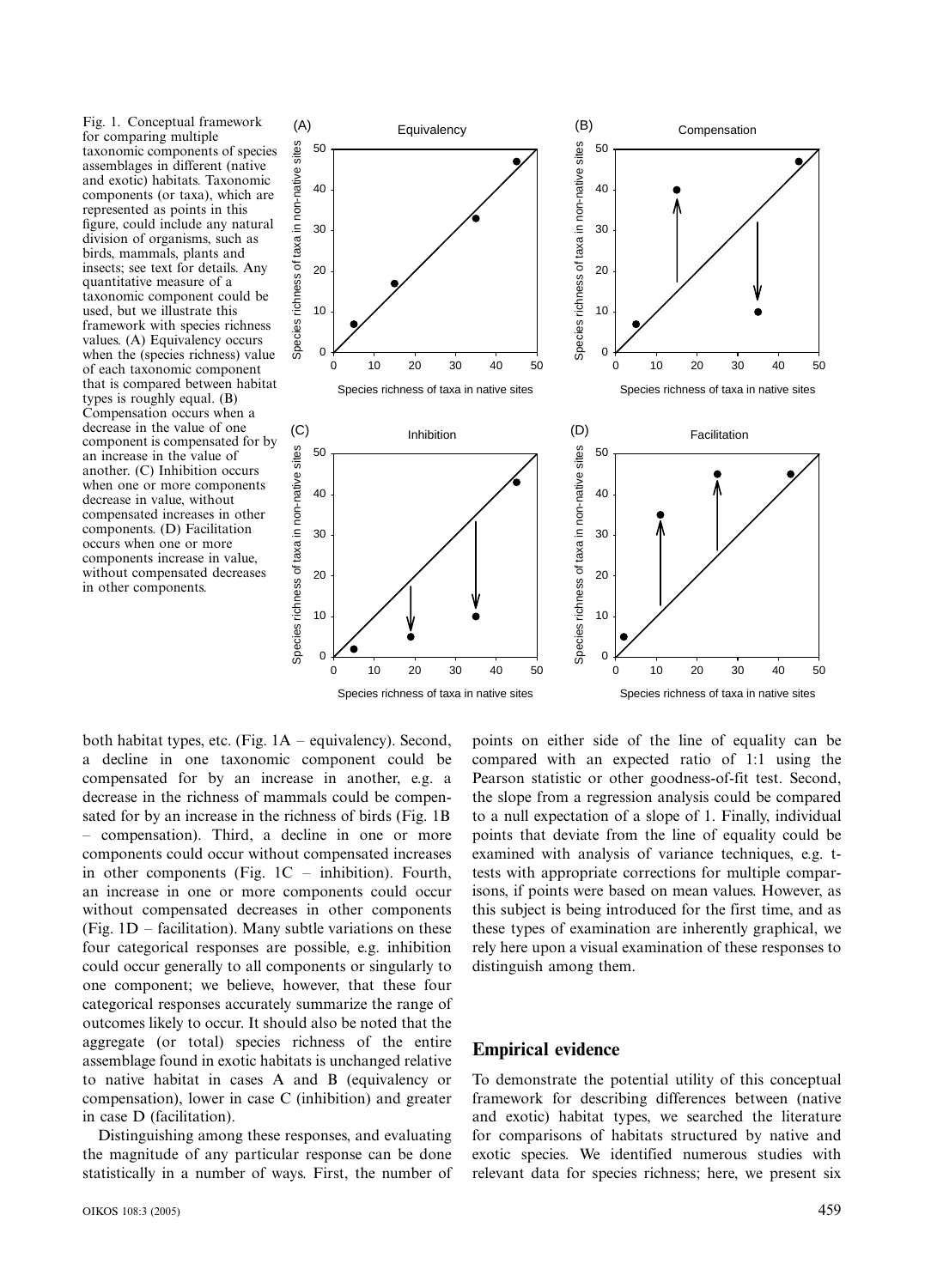Fig. 1. Conceptual framework for comparing multiple taxonomic components of species assemblages in different (native and exotic) habitats. Taxonomic components (or taxa), which are represented as points in this figure, could include any natural division of organisms, such as birds, mammals, plants and insects; see text for details. Any quantitative measure of a taxonomic component could be used, but we illustrate this framework with species richness values. (A) Equivalency occurs when the (species richness) value of each taxonomic component that is compared between habitat types is roughly equal. (B) Compensation occurs when a decrease in the value of one component is compensated for by an increase in the value of another. (C) Inhibition occurs when one or more components decrease in value, without compensated increases in other components. (D) Facilitation occurs when one or more components increase in value, without compensated decreases in other components.



both habitat types, etc. (Fig.  $1A -$  equivalency). Second, a decline in one taxonomic component could be compensated for by an increase in another, e.g. a decrease in the richness of mammals could be compensated for by an increase in the richness of birds (Fig. 1B - compensation). Third, a decline in one or more components could occur without compensated increases in other components (Fig.  $1C -$  inhibition). Fourth, an increase in one or more components could occur without compensated decreases in other components (Fig.  $1D$  – facilitation). Many subtle variations on these four categorical responses are possible, e.g. inhibition could occur generally to all components or singularly to one component; we believe, however, that these four categorical responses accurately summarize the range of outcomes likely to occur. It should also be noted that the aggregate (or total) species richness of the entire assemblage found in exotic habitats is unchanged relative to native habitat in cases A and B (equivalency or compensation), lower in case C (inhibition) and greater in case D (facilitation).

Distinguishing among these responses, and evaluating the magnitude of any particular response can be done statistically in a number of ways. First, the number of points on either side of the line of equality can be compared with an expected ratio of 1:1 using the Pearson statistic or other goodness-of-fit test. Second, the slope from a regression analysis could be compared to a null expectation of a slope of 1. Finally, individual points that deviate from the line of equality could be examined with analysis of variance techniques, e.g. ttests with appropriate corrections for multiple comparisons, if points were based on mean values. However, as this subject is being introduced for the first time, and as these types of examination are inherently graphical, we rely here upon a visual examination of these responses to distinguish among them.

### Empirical evidence

To demonstrate the potential utility of this conceptual framework for describing differences between (native and exotic) habitat types, we searched the literature for comparisons of habitats structured by native and exotic species. We identified numerous studies with relevant data for species richness; here, we present six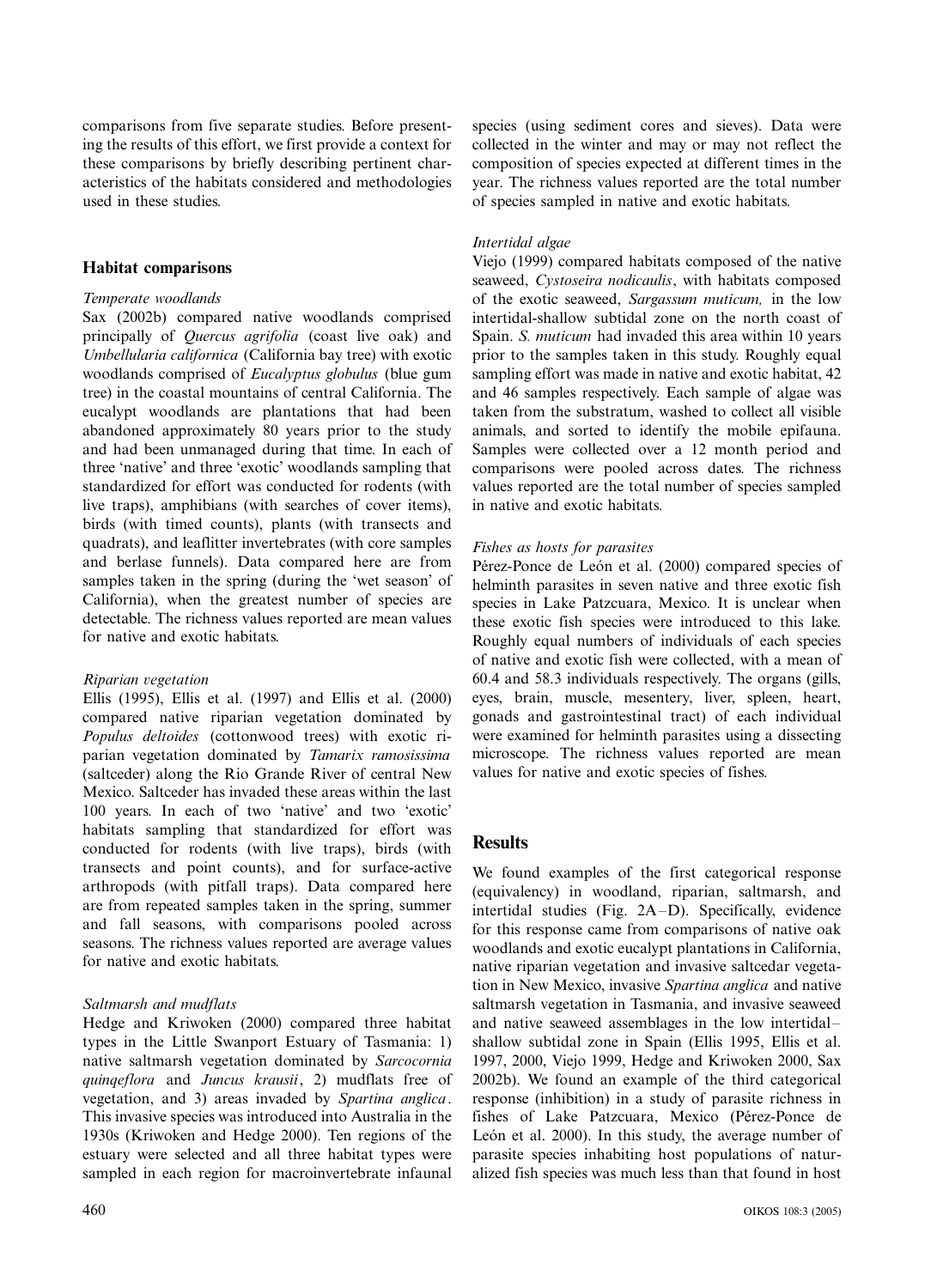comparisons from five separate studies. Before presenting the results of this effort, we first provide a context for these comparisons by briefly describing pertinent characteristics of the habitats considered and methodologies used in these studies.

#### Habitat comparisons

#### Temperate woodlands

Sax (2002b) compared native woodlands comprised principally of Quercus agrifolia (coast live oak) and Umbellularia californica (California bay tree) with exotic woodlands comprised of *Eucalyptus globulus* (blue gum tree) in the coastal mountains of central California. The eucalypt woodlands are plantations that had been abandoned approximately 80 years prior to the study and had been unmanaged during that time. In each of three 'native' and three 'exotic' woodlands sampling that standardized for effort was conducted for rodents (with live traps), amphibians (with searches of cover items), birds (with timed counts), plants (with transects and quadrats), and leaflitter invertebrates (with core samples and berlase funnels). Data compared here are from samples taken in the spring (during the 'wet season' of California), when the greatest number of species are detectable. The richness values reported are mean values for native and exotic habitats.

#### Riparian vegetation

Ellis (1995), Ellis et al. (1997) and Ellis et al. (2000) compared native riparian vegetation dominated by Populus deltoides (cottonwood trees) with exotic riparian vegetation dominated by Tamarix ramosissima (saltceder) along the Rio Grande River of central New Mexico. Saltceder has invaded these areas within the last 100 years. In each of two 'native' and two 'exotic' habitats sampling that standardized for effort was conducted for rodents (with live traps), birds (with transects and point counts), and for surface-active arthropods (with pitfall traps). Data compared here are from repeated samples taken in the spring, summer and fall seasons, with comparisons pooled across seasons. The richness values reported are average values for native and exotic habitats.

#### Saltmarsh and mudflats

Hedge and Kriwoken (2000) compared three habitat types in the Little Swanport Estuary of Tasmania: 1) native saltmarsh vegetation dominated by Sarcocornia quinqeflora and Juncus krausii, 2) mudflats free of vegetation, and 3) areas invaded by Spartina anglica. This invasive species was introduced into Australia in the 1930s (Kriwoken and Hedge 2000). Ten regions of the estuary were selected and all three habitat types were sampled in each region for macroinvertebrate infaunal species (using sediment cores and sieves). Data were collected in the winter and may or may not reflect the composition of species expected at different times in the year. The richness values reported are the total number of species sampled in native and exotic habitats.

#### Intertidal algae

Viejo (1999) compared habitats composed of the native seaweed, *Cystoseira nodicaulis*, with habitats composed of the exotic seaweed, Sargassum muticum, in the low intertidal-shallow subtidal zone on the north coast of Spain. S. *muticum* had invaded this area within 10 years prior to the samples taken in this study. Roughly equal sampling effort was made in native and exotic habitat, 42 and 46 samples respectively. Each sample of algae was taken from the substratum, washed to collect all visible animals, and sorted to identify the mobile epifauna. Samples were collected over a 12 month period and comparisons were pooled across dates. The richness values reported are the total number of species sampled in native and exotic habitats.

#### Fishes as hosts for parasites

Pérez-Ponce de León et al. (2000) compared species of helminth parasites in seven native and three exotic fish species in Lake Patzcuara, Mexico. It is unclear when these exotic fish species were introduced to this lake. Roughly equal numbers of individuals of each species of native and exotic fish were collected, with a mean of 60.4 and 58.3 individuals respectively. The organs (gills, eyes, brain, muscle, mesentery, liver, spleen, heart, gonads and gastrointestinal tract) of each individual were examined for helminth parasites using a dissecting microscope. The richness values reported are mean values for native and exotic species of fishes.

## **Results**

We found examples of the first categorical response (equivalency) in woodland, riparian, saltmarsh, and intertidal studies (Fig.  $2A-D$ ). Specifically, evidence for this response came from comparisons of native oak woodlands and exotic eucalypt plantations in California, native riparian vegetation and invasive saltcedar vegetation in New Mexico, invasive Spartina anglica and native saltmarsh vegetation in Tasmania, and invasive seaweed and native seaweed assemblages in the low intertidalshallow subtidal zone in Spain (Ellis 1995, Ellis et al. 1997, 2000, Viejo 1999, Hedge and Kriwoken 2000, Sax 2002b). We found an example of the third categorical response (inhibition) in a study of parasite richness in fishes of Lake Patzcuara, Mexico (Pérez-Ponce de León et al. 2000). In this study, the average number of parasite species inhabiting host populations of naturalized fish species was much less than that found in host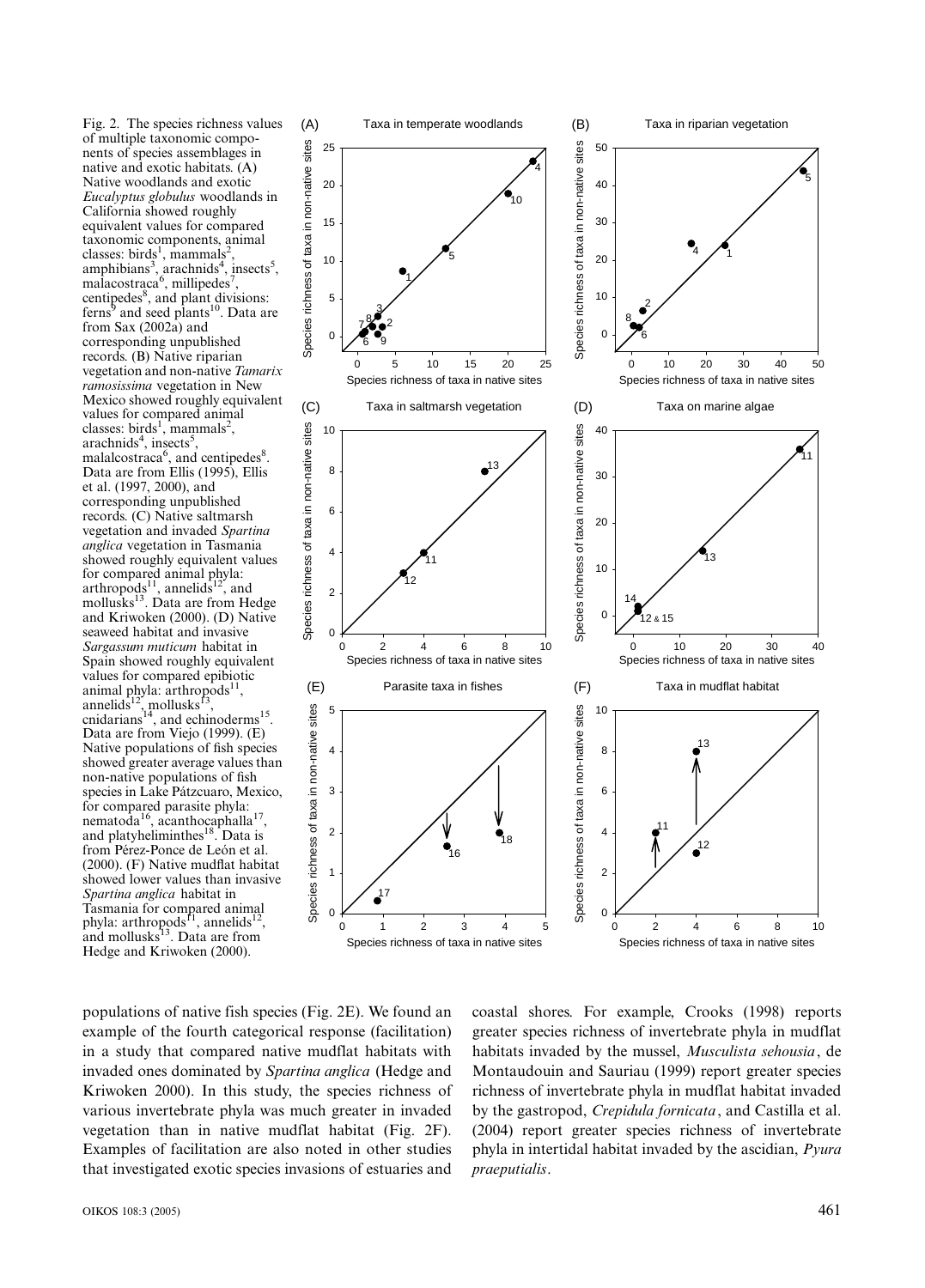Fig. 2. The species richness values of multiple taxonomic components of species assemblages in native and exotic habitats. (A) Native woodlands and exotic Eucalyptus globulus woodlands in California showed roughly equivalent values for compared taxonomic components, animal classes: birds<sup>1</sup>, mammals<sup>2</sup> classes: birds<sup>1</sup>, mammals<sup>2</sup>,<br>amphibians<sup>3</sup>, arachnids<sup>4</sup>, insects<sup>5</sup>,<br>malacostraca<sup>6</sup>, millipedes<sup>7</sup>, centipedes<sup>8</sup>, and plant divisions:<br>ferns<sup>9</sup> and seed plants<sup>10</sup>. Data are from Sax  $(2002a)$  and corresponding unpublished records. (B) Native riparian vegetation and non-native Tamarix ramosissima vegetation in New Mexico showed roughly equivalent values for compared animal classes: birds<sup>1</sup>, mammals<sup>2</sup>,  $arachnids<sup>4</sup>$ , insects<sup>5</sup>, malalcostraca<sup>6</sup>, and centipedes<sup>8</sup>. Data are from Ellis (1995), Ellis et al. (1997, 2000), and corresponding unpublished records. (C) Native saltmarsh vegetation and invaded Spartina anglica vegetation in Tasmania showed roughly equivalent values for compared animal phyla: arthropods<sup>11</sup>, annelids<sup>12</sup>, and mollusks<sup>13</sup>. Data are from Hedge and Kriwoken (2000). (D) Native seaweed habitat and invasive Sargassum muticum habitat in Spain showed roughly equivalent values for compared epibiotic animal phyla:  $arthropods<sup>11</sup>$ annelids<sup>12</sup>, mollusks<sup>13</sup>, cnidarians<sup>14</sup>, and echinoderms<sup>15</sup>. Data are from Viejo (1999). (E) Native populations of fish species showed greater average values than non-native populations of fish species in Lake Pátzcuaro, Mexico, for compared parasite phyla: nematoda<sup>16</sup>, acanthocaphalla<sup>17</sup>. and platyheliminthes $^{18}$ . Data is from Pérez-Ponce de León et al. (2000). (F) Native mudflat habitat showed lower values than invasive Spartina anglica habitat in Tasmania for compared animal<br>phyla: arthropods<sup>11</sup>, annelids<sup>12</sup>, and mollusks<sup>13</sup>. Data are from Hedge and Kriwoken (2000).



populations of native fish species (Fig. 2E). We found an example of the fourth categorical response (facilitation) in a study that compared native mudflat habitats with invaded ones dominated by Spartina anglica (Hedge and Kriwoken 2000). In this study, the species richness of various invertebrate phyla was much greater in invaded vegetation than in native mudflat habitat (Fig. 2F). Examples of facilitation are also noted in other studies that investigated exotic species invasions of estuaries and coastal shores. For example, Crooks (1998) reports greater species richness of invertebrate phyla in mudflat habitats invaded by the mussel, Musculista sehousia, de Montaudouin and Sauriau (1999) report greater species richness of invertebrate phyla in mudflat habitat invaded by the gastropod, Crepidula fornicata, and Castilla et al. (2004) report greater species richness of invertebrate phyla in intertidal habitat invaded by the ascidian, Pyura praeputialis.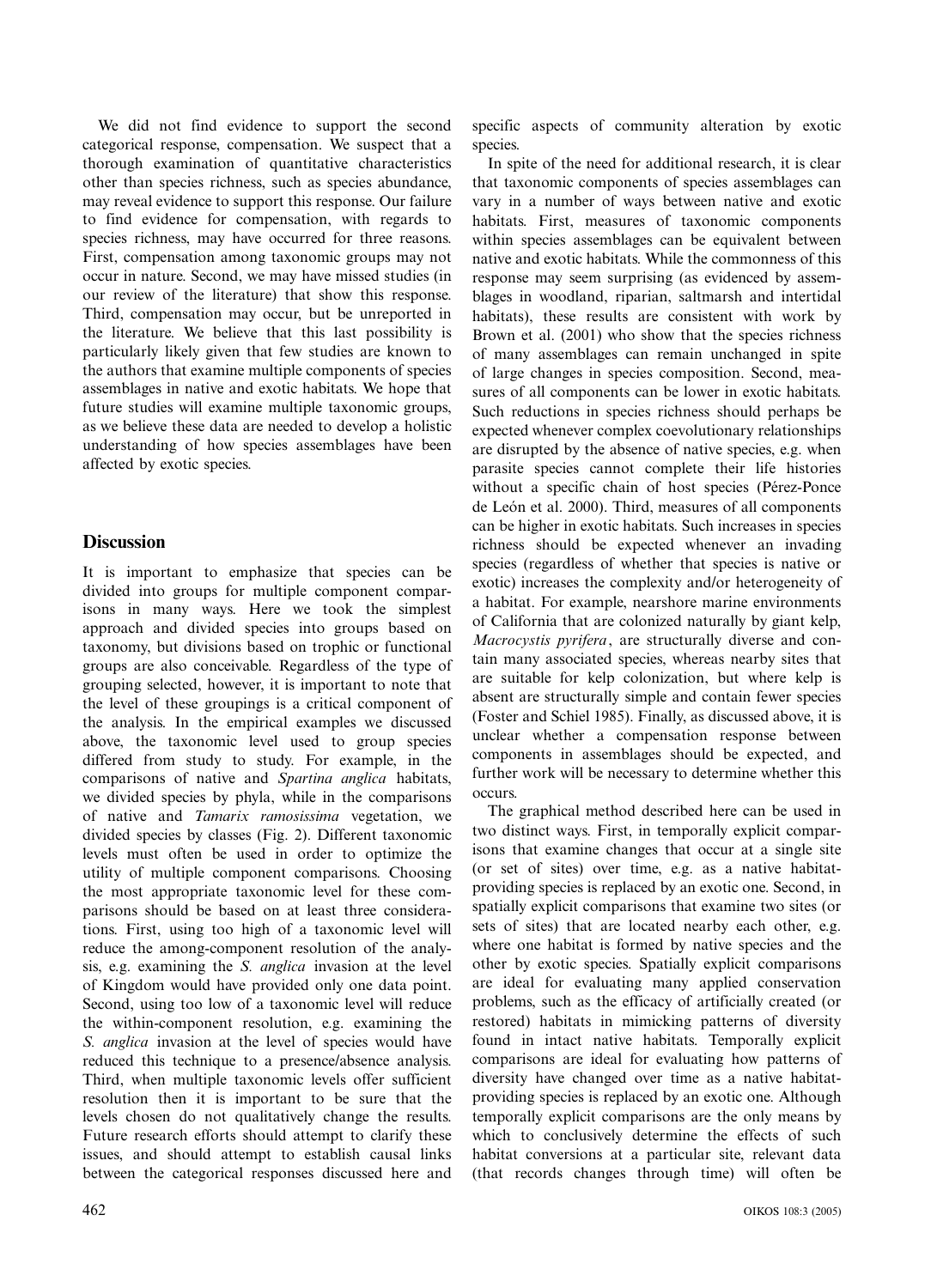We did not find evidence to support the second categorical response, compensation. We suspect that a thorough examination of quantitative characteristics other than species richness, such as species abundance, may reveal evidence to support this response. Our failure to find evidence for compensation, with regards to species richness, may have occurred for three reasons. First, compensation among taxonomic groups may not occur in nature. Second, we may have missed studies (in our review of the literature) that show this response. Third, compensation may occur, but be unreported in the literature. We believe that this last possibility is particularly likely given that few studies are known to the authors that examine multiple components of species assemblages in native and exotic habitats. We hope that future studies will examine multiple taxonomic groups, as we believe these data are needed to develop a holistic understanding of how species assemblages have been affected by exotic species.

## **Discussion**

It is important to emphasize that species can be divided into groups for multiple component comparisons in many ways. Here we took the simplest approach and divided species into groups based on taxonomy, but divisions based on trophic or functional groups are also conceivable. Regardless of the type of grouping selected, however, it is important to note that the level of these groupings is a critical component of the analysis. In the empirical examples we discussed above, the taxonomic level used to group species differed from study to study. For example, in the comparisons of native and Spartina anglica habitats, we divided species by phyla, while in the comparisons of native and Tamarix ramosissima vegetation, we divided species by classes (Fig. 2). Different taxonomic levels must often be used in order to optimize the utility of multiple component comparisons. Choosing the most appropriate taxonomic level for these comparisons should be based on at least three considerations. First, using too high of a taxonomic level will reduce the among-component resolution of the analysis, e.g. examining the S. anglica invasion at the level of Kingdom would have provided only one data point. Second, using too low of a taxonomic level will reduce the within-component resolution, e.g. examining the S. anglica invasion at the level of species would have reduced this technique to a presence/absence analysis. Third, when multiple taxonomic levels offer sufficient resolution then it is important to be sure that the levels chosen do not qualitatively change the results. Future research efforts should attempt to clarify these issues, and should attempt to establish causal links between the categorical responses discussed here and specific aspects of community alteration by exotic species.

In spite of the need for additional research, it is clear that taxonomic components of species assemblages can vary in a number of ways between native and exotic habitats. First, measures of taxonomic components within species assemblages can be equivalent between native and exotic habitats. While the commonness of this response may seem surprising (as evidenced by assemblages in woodland, riparian, saltmarsh and intertidal habitats), these results are consistent with work by Brown et al. (2001) who show that the species richness of many assemblages can remain unchanged in spite of large changes in species composition. Second, measures of all components can be lower in exotic habitats. Such reductions in species richness should perhaps be expected whenever complex coevolutionary relationships are disrupted by the absence of native species, e.g. when parasite species cannot complete their life histories without a specific chain of host species (Pérez-Ponce de León et al. 2000). Third, measures of all components can be higher in exotic habitats. Such increases in species richness should be expected whenever an invading species (regardless of whether that species is native or exotic) increases the complexity and/or heterogeneity of a habitat. For example, nearshore marine environments of California that are colonized naturally by giant kelp, Macrocystis pyrifera, are structurally diverse and contain many associated species, whereas nearby sites that are suitable for kelp colonization, but where kelp is absent are structurally simple and contain fewer species (Foster and Schiel 1985). Finally, as discussed above, it is unclear whether a compensation response between components in assemblages should be expected, and further work will be necessary to determine whether this occurs.

The graphical method described here can be used in two distinct ways. First, in temporally explicit comparisons that examine changes that occur at a single site (or set of sites) over time, e.g. as a native habitatproviding species is replaced by an exotic one. Second, in spatially explicit comparisons that examine two sites (or sets of sites) that are located nearby each other, e.g. where one habitat is formed by native species and the other by exotic species. Spatially explicit comparisons are ideal for evaluating many applied conservation problems, such as the efficacy of artificially created (or restored) habitats in mimicking patterns of diversity found in intact native habitats. Temporally explicit comparisons are ideal for evaluating how patterns of diversity have changed over time as a native habitatproviding species is replaced by an exotic one. Although temporally explicit comparisons are the only means by which to conclusively determine the effects of such habitat conversions at a particular site, relevant data (that records changes through time) will often be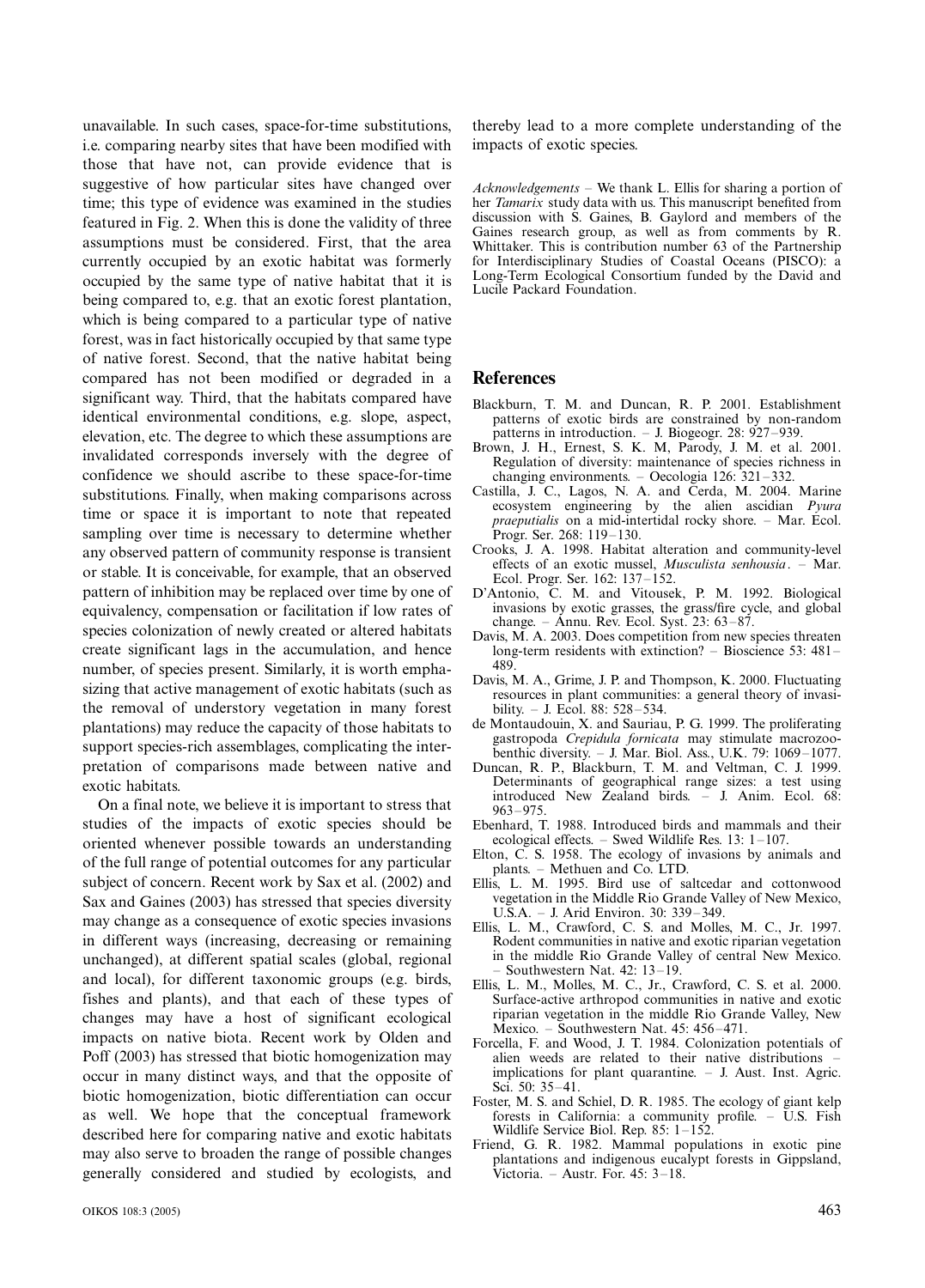unavailable. In such cases, space-for-time substitutions, i.e. comparing nearby sites that have been modified with those that have not, can provide evidence that is suggestive of how particular sites have changed over time; this type of evidence was examined in the studies featured in Fig. 2. When this is done the validity of three assumptions must be considered. First, that the area currently occupied by an exotic habitat was formerly occupied by the same type of native habitat that it is being compared to, e.g. that an exotic forest plantation, which is being compared to a particular type of native forest, was in fact historically occupied by that same type of native forest. Second, that the native habitat being compared has not been modified or degraded in a significant way. Third, that the habitats compared have identical environmental conditions, e.g. slope, aspect, elevation, etc. The degree to which these assumptions are invalidated corresponds inversely with the degree of confidence we should ascribe to these space-for-time substitutions. Finally, when making comparisons across time or space it is important to note that repeated sampling over time is necessary to determine whether any observed pattern of community response is transient or stable. It is conceivable, for example, that an observed pattern of inhibition may be replaced over time by one of equivalency, compensation or facilitation if low rates of species colonization of newly created or altered habitats create significant lags in the accumulation, and hence number, of species present. Similarly, it is worth emphasizing that active management of exotic habitats (such as the removal of understory vegetation in many forest plantations) may reduce the capacity of those habitats to support species-rich assemblages, complicating the interpretation of comparisons made between native and exotic habitats.

On a final note, we believe it is important to stress that studies of the impacts of exotic species should be oriented whenever possible towards an understanding of the full range of potential outcomes for any particular subject of concern. Recent work by Sax et al. (2002) and Sax and Gaines (2003) has stressed that species diversity may change as a consequence of exotic species invasions in different ways (increasing, decreasing or remaining unchanged), at different spatial scales (global, regional and local), for different taxonomic groups (e.g. birds, fishes and plants), and that each of these types of changes may have a host of significant ecological impacts on native biota. Recent work by Olden and Poff (2003) has stressed that biotic homogenization may occur in many distinct ways, and that the opposite of biotic homogenization, biotic differentiation can occur as well. We hope that the conceptual framework described here for comparing native and exotic habitats may also serve to broaden the range of possible changes generally considered and studied by ecologists, and

thereby lead to a more complete understanding of the impacts of exotic species.

 $Acknowledgements$  – We thank L. Ellis for sharing a portion of her *Tamarix* study data with us. This manuscript benefited from discussion with S. Gaines, B. Gaylord and members of the Gaines research group, as well as from comments by R. Whittaker. This is contribution number 63 of the Partnership for Interdisciplinary Studies of Coastal Oceans (PISCO): a Long-Term Ecological Consortium funded by the David and Lucile Packard Foundation.

#### **References**

- Blackburn, T. M. and Duncan, R. P. 2001. Establishment patterns of exotic birds are constrained by non-random patterns in introduction. - J. Biogeogr. 28: 927-939.
- Brown, J. H., Ernest, S. K. M, Parody, J. M. et al. 2001. Regulation of diversity: maintenance of species richness in changing environments. - Oecologia 126:  $321-332$ .
- Castilla, J. C., Lagos, N. A. and Cerda, M. 2004. Marine ecosystem engineering by the alien ascidian Pyura praeputialis on a mid-intertidal rocky shore. - Mar. Ecol. Progr. Ser. 268: 119-130.
- Crooks, J. A. 1998. Habitat alteration and community-level effects of an exotic mussel, *Musculista senhousia*.  $-$  Mar. Ecol. Progr. Ser. 162: 137-152.
- D'Antonio, C. M. and Vitousek, P. M. 1992. Biological invasions by exotic grasses, the grass/fire cycle, and global change. – Annu. Rev. Ecol. Syst. 23:  $63-87$ .
- Davis, M. A. 2003. Does competition from new species threaten long-term residents with extinction?  $-$  Bioscience 53: 481 $-$ 489.
- Davis, M. A., Grime, J. P. and Thompson, K. 2000. Fluctuating resources in plant communities: a general theory of invasibility. – J. Ecol. 88:  $528-534$ .
- de Montaudouin, X. and Sauriau, P. G. 1999. The proliferating gastropoda Crepidula fornicata may stimulate macrozoobenthic diversity. – J. Mar. Biol. Ass., U.K. 79: 1069–1077.
- Duncan, R. P., Blackburn, T. M. and Veltman, C. J. 1999. Determinants of geographical range sizes: a test using introduced New Zealand birds. - J. Anim. Ecol. 68: 963-975.
- Ebenhard, T. 1988. Introduced birds and mammals and their ecological effects. – Swed Wildlife Res. 13:  $1-107$ .
- Elton, C. S. 1958. The ecology of invasions by animals and plants. - Methuen and Co. LTD.
- Ellis, L. M. 1995. Bird use of saltcedar and cottonwood vegetation in the Middle Rio Grande Valley of New Mexico, U.S.A. - J. Arid Environ. 30: 339-349.
- Ellis, L. M., Crawford, C. S. and Molles, M. C., Jr. 1997. Rodent communities in native and exotic riparian vegetation in the middle Rio Grande Valley of central New Mexico. - Southwestern Nat. 42: 13-19.
- Ellis, L. M., Molles, M. C., Jr., Crawford, C. S. et al. 2000. Surface-active arthropod communities in native and exotic riparian vegetation in the middle Rio Grande Valley, New Mexico. - Southwestern Nat.  $45: 456-471$ .
- Forcella, F. and Wood, J. T. 1984. Colonization potentials of alien weeds are related to their native distributions implications for plant quarantine.  $-$  J. Aust. Inst. Agric. Sci. 50:  $35-41$ .
- Foster, M. S. and Schiel, D. R. 1985. The ecology of giant kelp forests in California: a community profile.  $-$  U.S. Fish Wildlife Service Biol. Rep. 85:  $1-152$ .
- Friend, G. R. 1982. Mammal populations in exotic pine plantations and indigenous eucalypt forests in Gippsland, Victoria. - Austr. For. 45: 3-18.